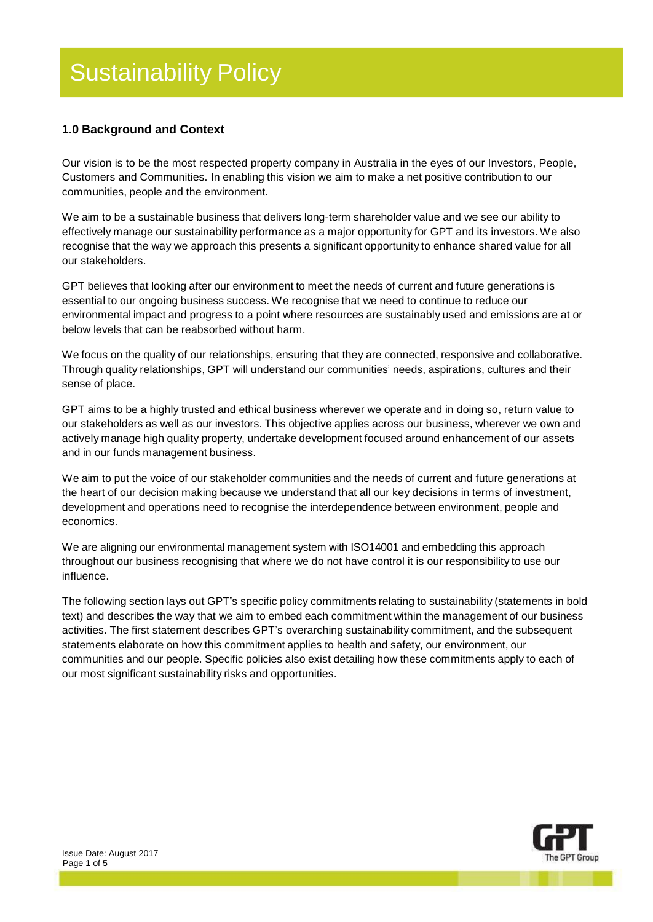### **1.0 Background and Context**

Our vision is to be the most respected property company in Australia in the eyes of our Investors, People, Customers and Communities. In enabling this vision we aim to make a net positive contribution to our communities, people and the environment.

We aim to be a sustainable business that delivers long-term shareholder value and we see our ability to effectively manage our sustainability performance as a major opportunity for GPT and its investors. We also recognise that the way we approach this presents a significant opportunity to enhance shared value for all our stakeholders.

GPT believes that looking after our environment to meet the needs of current and future generations is essential to our ongoing business success. We recognise that we need to continue to reduce our environmental impact and progress to a point where resources are sustainably used and emissions are at or below levels that can be reabsorbed without harm.

We focus on the quality of our relationships, ensuring that they are connected, responsive and collaborative. Through quality relationships, GPT will understand our communities' needs, aspirations, cultures and their sense of place.

GPT aims to be a highly trusted and ethical business wherever we operate and in doing so, return value to our stakeholders as well as our investors. This objective applies across our business, wherever we own and actively manage high quality property, undertake development focused around enhancement of our assets and in our funds management business.

We aim to put the voice of our stakeholder communities and the needs of current and future generations at the heart of our decision making because we understand that all our key decisions in terms of investment, development and operations need to recognise the interdependence between environment, people and economics.

We are aligning our environmental management system with ISO14001 and embedding this approach throughout our business recognising that where we do not have control it is our responsibility to use our influence.

The following section lays out GPT"s specific policy commitments relating to sustainability (statements in bold text) and describes the way that we aim to embed each commitment within the management of our business activities. The first statement describes GPT"s overarching sustainability commitment, and the subsequent statements elaborate on how this commitment applies to health and safety, our environment, our communities and our people. Specific policies also exist detailing how these commitments apply to each of our most significant sustainability risks and opportunities.

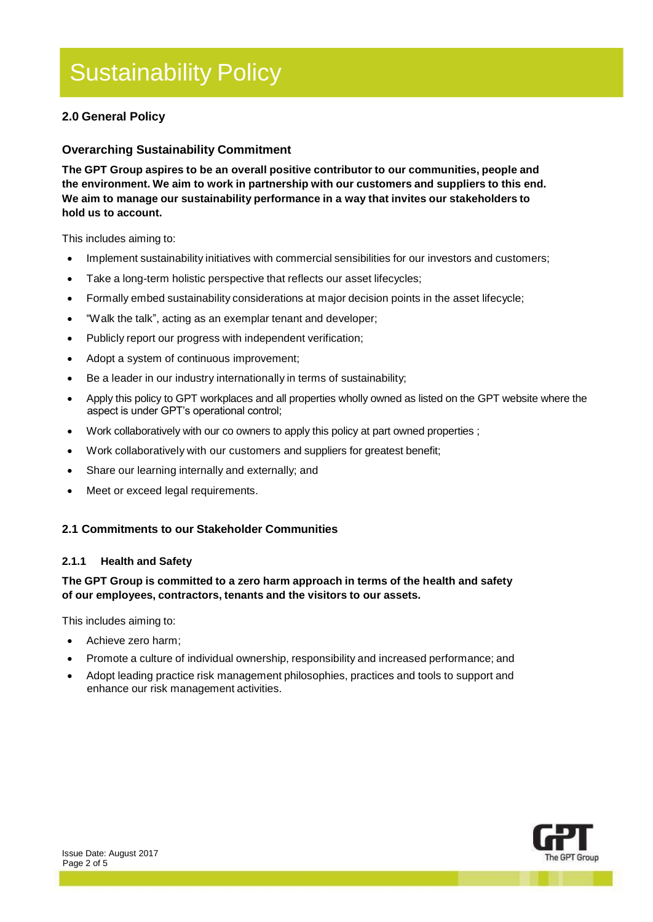### **2.0 General Policy**

#### **Overarching Sustainability Commitment**

**The GPT Group aspires to be an overall positive contributor to our communities, people and the environment. We aim to work in partnership with our customers and suppliers to this end. We aim to manage our sustainability performance in a way that invites our stakeholders to hold us to account.**

This includes aiming to:

- Implement sustainability initiatives with commercial sensibilities for our investors and customers;
- Take a long-term holistic perspective that reflects our asset lifecycles;
- Formally embed sustainability considerations at major decision points in the asset lifecycle;
- "Walk the talk", acting as an exemplar tenant and developer;
- Publicly report our progress with independent verification;
- Adopt a system of continuous improvement;
- Be a leader in our industry internationally in terms of sustainability;
- Apply this policy to GPT workplaces and all properties wholly owned as listed on the GPT website where the aspect is under GPT's operational control;
- Work collaboratively with our co owners to apply this policy at part owned properties ;
- Work collaboratively with our customers and suppliers for greatest benefit;
- Share our learning internally and externally; and
- Meet or exceed legal requirements.

#### **2.1 Commitments to our Stakeholder Communities**

#### **2.1.1 Health and Safety**

#### **The GPT Group is committed to a zero harm approach in terms of the health and safety of our employees, contractors, tenants and the visitors to our assets.**

This includes aiming to:

- Achieve zero harm;
- Promote a culture of individual ownership, responsibility and increased performance; and
- Adopt leading practice risk management philosophies, practices and tools to support and enhance our risk management activities.

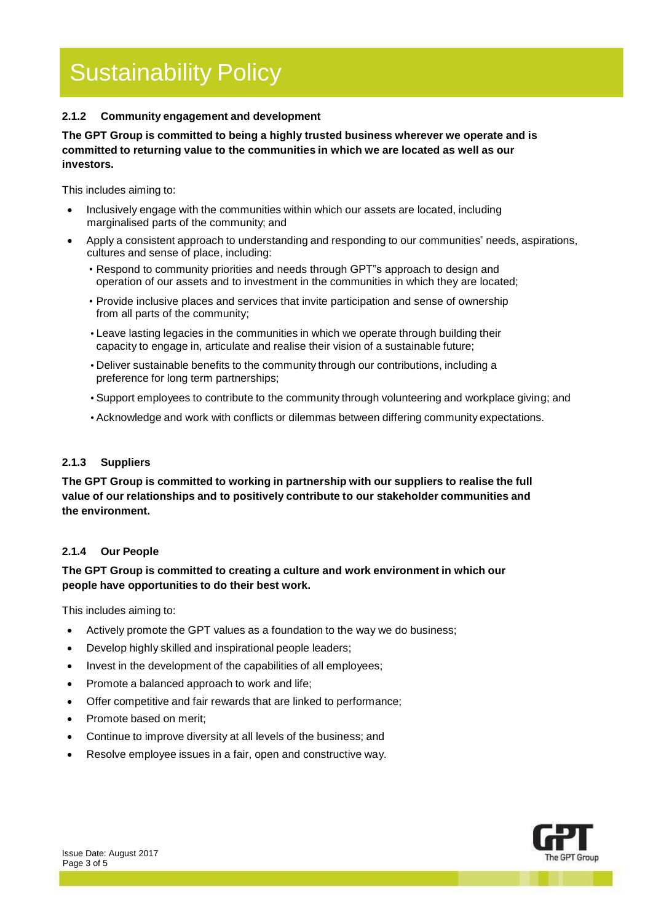#### **2.1.2 Community engagement and development**

**The GPT Group is committed to being a highly trusted business wherever we operate and is committed to returning value to the communities in which we are located as well as our investors.**

This includes aiming to:

- Inclusively engage with the communities within which our assets are located, including marginalised parts of the community; and
- Apply a consistent approach to understanding and responding to our communities" needs, aspirations, cultures and sense of place, including:
	- Respond to community priorities and needs through GPT"s approach to design and operation of our assets and to investment in the communities in which they are located;
	- Provide inclusive places and services that invite participation and sense of ownership from all parts of the community;
	- •Leave lasting legacies in the communities in which we operate through building their capacity to engage in, articulate and realise their vision of a sustainable future;
	- •Deliver sustainable benefits to the community through our contributions, including a preference for long term partnerships;
	- •Support employees to contribute to the community through volunteering and workplace giving; and
	- •Acknowledge and work with conflicts or dilemmas between differing community expectations.

#### **2.1.3 Suppliers**

**The GPT Group is committed to working in partnership with our suppliers to realise the full value of our relationships and to positively contribute to our stakeholder communities and the environment.**

#### **2.1.4 Our People**

#### **The GPT Group is committed to creating a culture and work environment in which our people have opportunities to do their best work.**

This includes aiming to:

- Actively promote the GPT values as a foundation to the way we do business;
- Develop highly skilled and inspirational people leaders;
- Invest in the development of the capabilities of all employees;
- Promote a balanced approach to work and life;
- Offer competitive and fair rewards that are linked to performance;
- Promote based on merit;
- Continue to improve diversity at all levels of the business; and
- Resolve employee issues in a fair, open and constructive way.

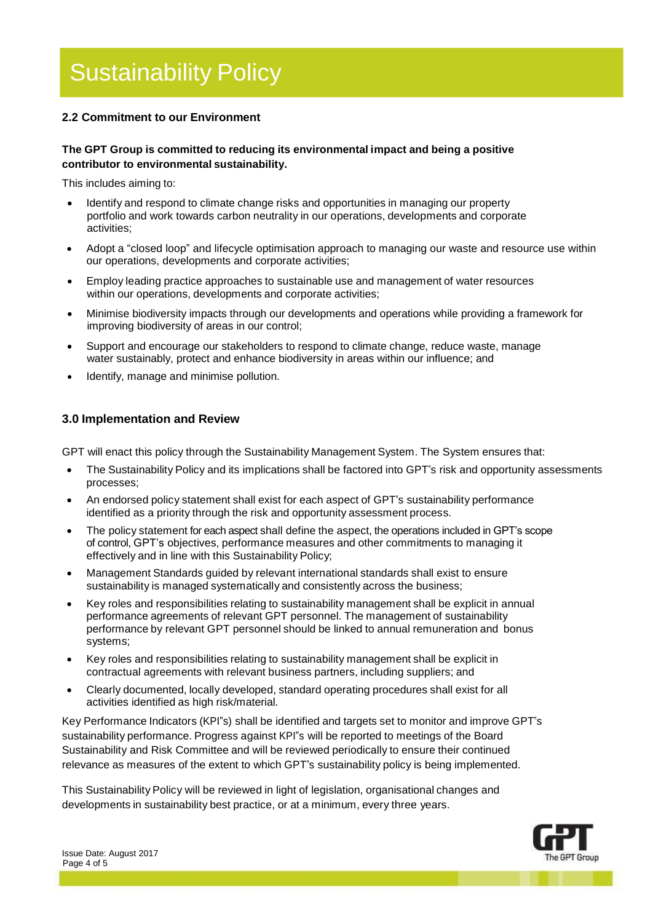### **2.2 Commitment to our Environment**

#### **The GPT Group is committed to reducing its environmental impact and being a positive contributor to environmental sustainability.**

This includes aiming to:

- Identify and respond to climate change risks and opportunities in managing our property portfolio and work towards carbon neutrality in our operations, developments and corporate activities;
- Adopt a "closed loop" and lifecycle optimisation approach to managing our waste and resource use within our operations, developments and corporate activities;
- Employ leading practice approaches to sustainable use and management of water resources within our operations, developments and corporate activities;
- Minimise biodiversity impacts through our developments and operations while providing a framework for improving biodiversity of areas in our control;
- Support and encourage our stakeholders to respond to climate change, reduce waste, manage water sustainably, protect and enhance biodiversity in areas within our influence; and
- Identify, manage and minimise pollution.

#### **3.0 Implementation and Review**

GPT will enact this policy through the Sustainability Management System. The System ensures that:

- The Sustainability Policy and its implications shall be factored into GPT"s risk and opportunity assessments processes;
- An endorsed policy statement shall exist for each aspect of GPT"s sustainability performance identified as a priority through the risk and opportunity assessment process.
- The policy statement for each aspect shall define the aspect, the operations included in GPT's scope of control, GPT's objectives, performance measures and other commitments to managing it effectively and in line with this Sustainability Policy;
- Management Standards guided by relevant international standards shall exist to ensure sustainability is managed systematically and consistently across the business;
- Key roles and responsibilities relating to sustainability management shall be explicit in annual performance agreements of relevant GPT personnel. The management of sustainability performance by relevant GPT personnel should be linked to annual remuneration and bonus systems;
- Key roles and responsibilities relating to sustainability management shall be explicit in contractual agreements with relevant business partners, including suppliers; and
- Clearly documented, locally developed, standard operating procedures shall exist for all activities identified as high risk/material.

Key Performance Indicators (KPI"s) shall be identified and targets set to monitor and improve GPT"s sustainability performance. Progress against KPI"s will be reported to meetings of the Board Sustainability and Risk Committee and will be reviewed periodically to ensure their continued relevance as measures of the extent to which GPT"s sustainability policy is being implemented.

This Sustainability Policy will be reviewed in light of legislation, organisational changes and developments in sustainability best practice, or at a minimum, every three years.